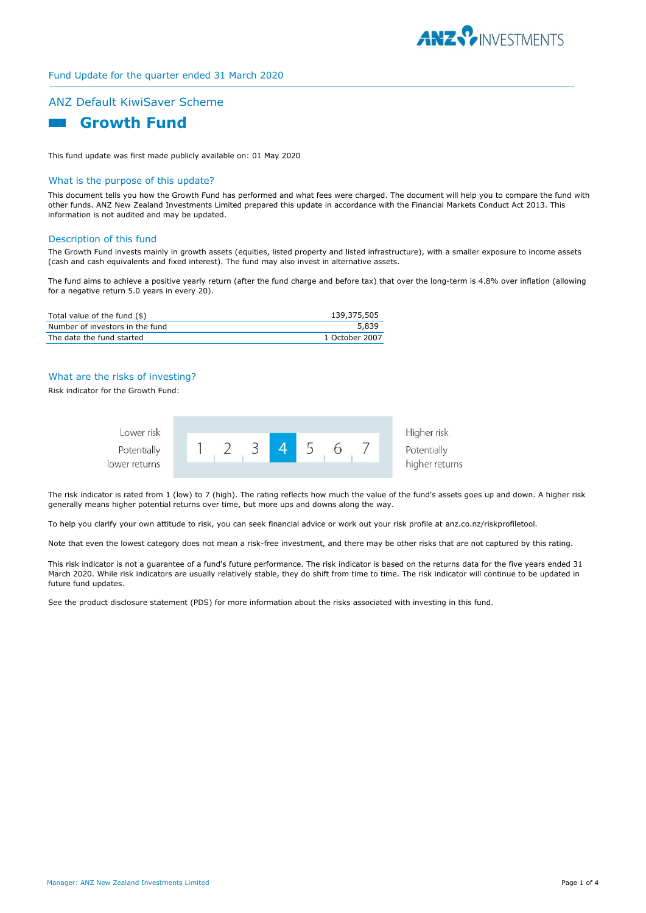

# Fund Update for the quarter ended 31 March 2020

# ANZ Default KiwiSaver Scheme



This fund update was first made publicly available on: 01 May 2020

# What is the purpose of this update?

This document tells you how the Growth Fund has performed and what fees were charged. The document will help you to compare the fund with other funds. ANZ New Zealand Investments Limited prepared this update in accordance with the Financial Markets Conduct Act 2013. This information is not audited and may be updated.

#### Description of this fund

The Growth Fund invests mainly in growth assets (equities, listed property and listed infrastructure), with a smaller exposure to income assets (cash and cash equivalents and fixed interest). The fund may also invest in alternative assets.

The fund aims to achieve a positive yearly return (after the fund charge and before tax) that over the long-term is 4.8% over inflation (allowing for a negative return 5.0 years in every 20).

| Total value of the fund (\$)    | 139,375,505    |
|---------------------------------|----------------|
| Number of investors in the fund | 5.839          |
| The date the fund started       | 1 October 2007 |

# What are the risks of investing?

Risk indicator for the Growth Fund:



Higher risk higher returns

The risk indicator is rated from 1 (low) to 7 (high). The rating reflects how much the value of the fund's assets goes up and down. A higher risk generally means higher potential returns over time, but more ups and downs along the way.

To help you clarify your own attitude to risk, you can seek financial advice or work out your risk profile at anz.co.nz/riskprofiletool.

Note that even the lowest category does not mean a risk-free investment, and there may be other risks that are not captured by this rating.

This risk indicator is not a guarantee of a fund's future performance. The risk indicator is based on the returns data for the five years ended 31 March 2020. While risk indicators are usually relatively stable, they do shift from time to time. The risk indicator will continue to be updated in future fund updates.

See the product disclosure statement (PDS) for more information about the risks associated with investing in this fund.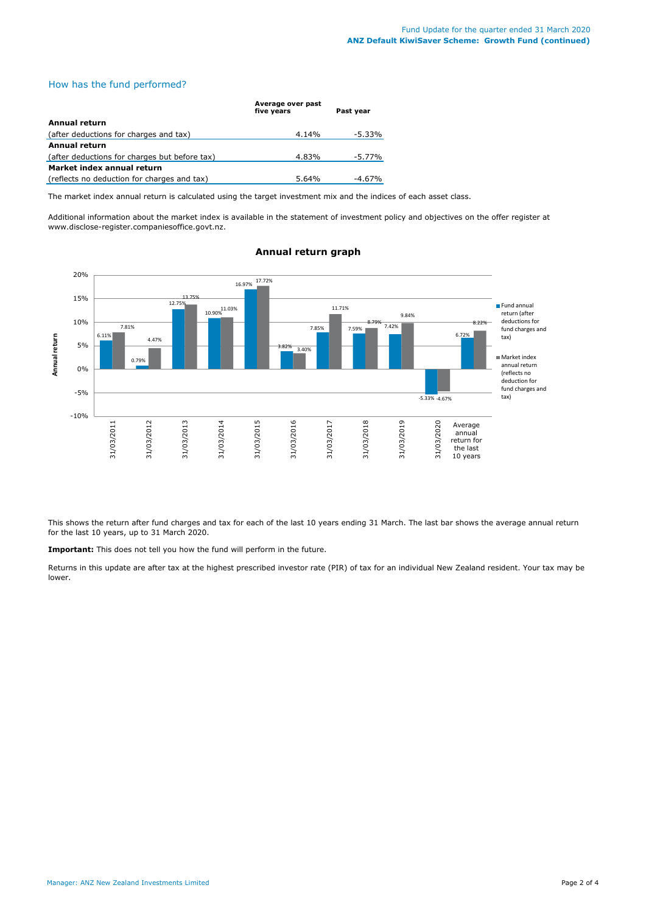# How has the fund performed?

|                                               | Average over past<br>five vears | Past vear |
|-----------------------------------------------|---------------------------------|-----------|
| Annual return                                 |                                 |           |
| (after deductions for charges and tax)        | 4.14%                           | -5.33%    |
| <b>Annual return</b>                          |                                 |           |
| (after deductions for charges but before tax) | 4.83%                           | -5.77%    |
| Market index annual return                    |                                 |           |
| (reflects no deduction for charges and tax)   | 5.64%                           | $-4.67\%$ |

The market index annual return is calculated using the target investment mix and the indices of each asset class.

Additional information about the market index is available in the statement of investment policy and objectives on the offer register at www.disclose-register.companiesoffice.govt.nz.



# **Annual return graph**

This shows the return after fund charges and tax for each of the last 10 years ending 31 March. The last bar shows the average annual return for the last 10 years, up to 31 March 2020.

**Important:** This does not tell you how the fund will perform in the future.

Returns in this update are after tax at the highest prescribed investor rate (PIR) of tax for an individual New Zealand resident. Your tax may be lower.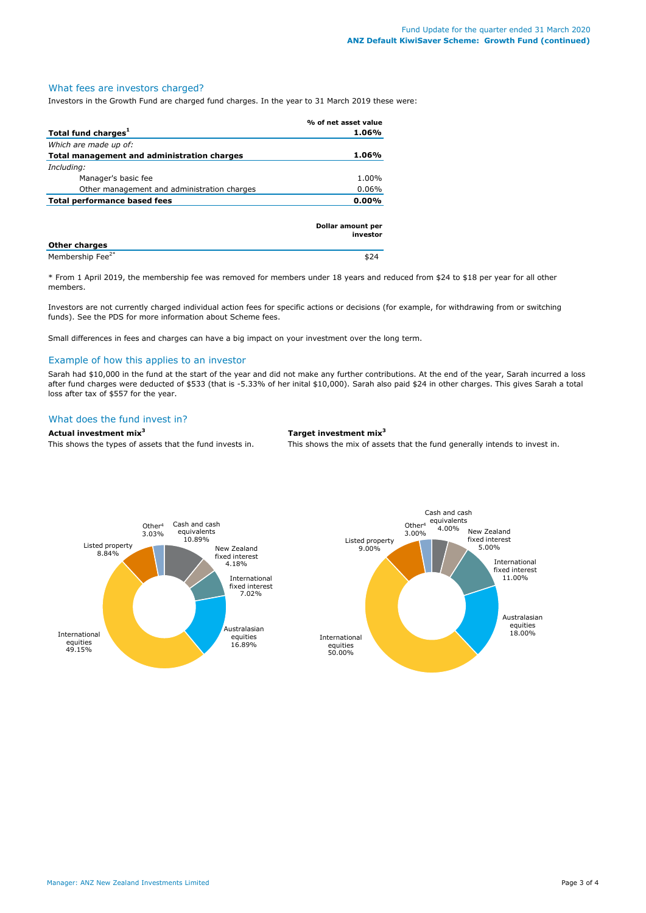### What fees are investors charged?

Investors in the Growth Fund are charged fund charges. In the year to 31 March 2019 these were:

|                                             | % of net asset value          |
|---------------------------------------------|-------------------------------|
| Total fund charges <sup>1</sup>             | 1.06%                         |
| Which are made up of:                       |                               |
| Total management and administration charges | 1.06%                         |
| Including:                                  |                               |
| Manager's basic fee                         | 1.00%                         |
| Other management and administration charges | $0.06\%$                      |
| Total performance based fees                | $0.00\%$                      |
|                                             |                               |
|                                             | Dollar amount per<br>investor |

| <b>Other charges</b>         |  |
|------------------------------|--|
| Membership Fee <sup>2*</sup> |  |

\* From 1 April 2019, the membership fee was removed for members under 18 years and reduced from \$24 to \$18 per year for all other members.

Investors are not currently charged individual action fees for specific actions or decisions (for example, for withdrawing from or switching funds). See the PDS for more information about Scheme fees.

Small differences in fees and charges can have a big impact on your investment over the long term.

### Example of how this applies to an investor

Sarah had \$10,000 in the fund at the start of the year and did not make any further contributions. At the end of the year, Sarah incurred a loss after fund charges were deducted of \$533 (that is -5.33% of her inital \$10,000). Sarah also paid \$24 in other charges. This gives Sarah a total loss after tax of \$557 for the year.

# What does the fund invest in?

# **Actual investment mix<sup>3</sup> Target investment mix<sup>3</sup>**

This shows the types of assets that the fund invests in. This shows the mix of assets that the fund generally intends to invest in.